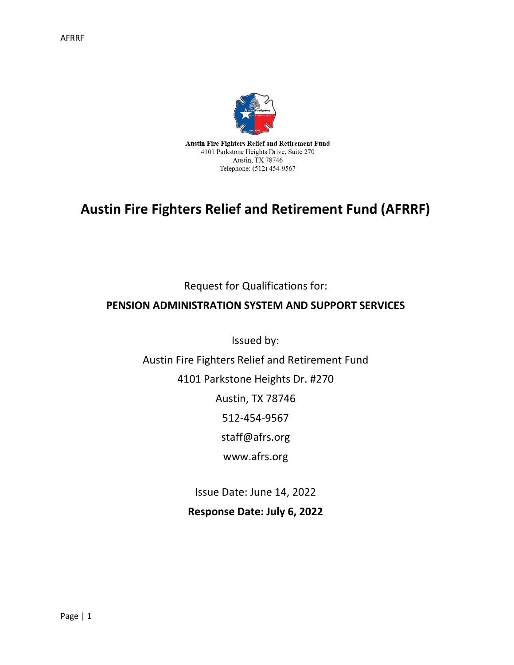

# **Austin Fire Fighters Relief and Retirement Fund (AFRRF)**

Request for Qualifications for:

### **PENSION ADMINISTRATION SYSTEM AND SUPPORT SERVICES**

Issued by:

Austin Fire Fighters Relief and Retirement Fund

4101 Parkstone Heights Dr. #270

Austin, TX 78746

512-454-9567

staff@afrs.org

www.afrs.org

Issue Date: June 14, 2022

**Response Date: July 6, 2022**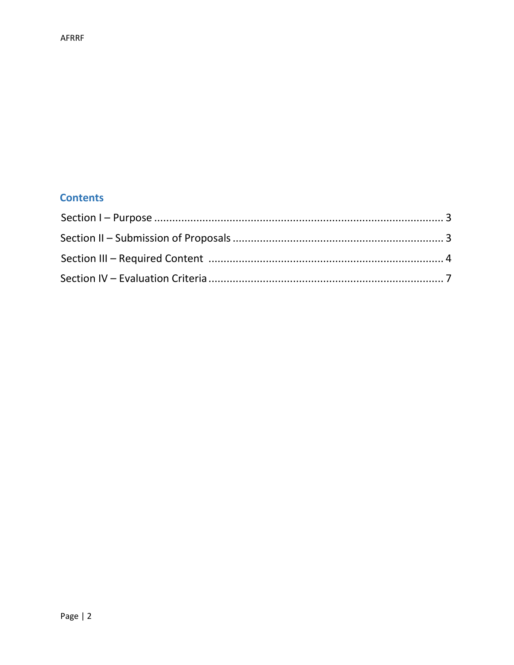## **Contents**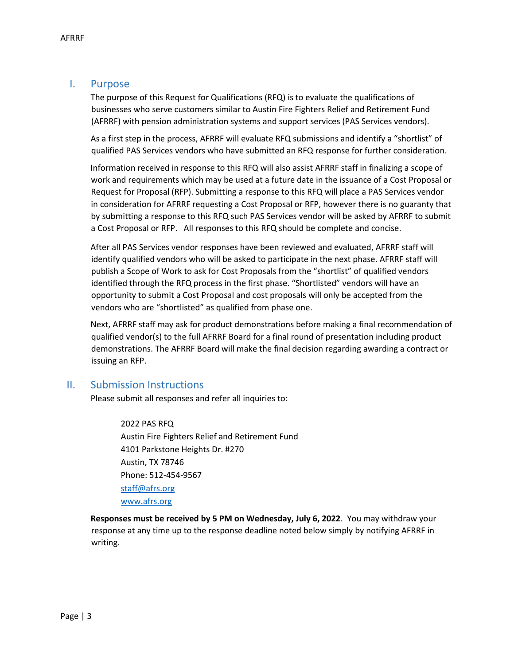#### I. Purpose

The purpose of this Request for Qualifications (RFQ) is to evaluate the qualifications of businesses who serve customers similar to Austin Fire Fighters Relief and Retirement Fund (AFRRF) with pension administration systems and support services (PAS Services vendors).

As a first step in the process, AFRRF will evaluate RFQ submissions and identify a "shortlist" of qualified PAS Services vendors who have submitted an RFQ response for further consideration.

Information received in response to this RFQ will also assist AFRRF staff in finalizing a scope of work and requirements which may be used at a future date in the issuance of a Cost Proposal or Request for Proposal (RFP). Submitting a response to this RFQ will place a PAS Services vendor in consideration for AFRRF requesting a Cost Proposal or RFP, however there is no guaranty that by submitting a response to this RFQ such PAS Services vendor will be asked by AFRRF to submit a Cost Proposal or RFP. All responses to this RFQ should be complete and concise.

After all PAS Services vendor responses have been reviewed and evaluated, AFRRF staff will identify qualified vendors who will be asked to participate in the next phase. AFRRF staff will publish a Scope of Work to ask for Cost Proposals from the "shortlist" of qualified vendors identified through the RFQ process in the first phase. "Shortlisted" vendors will have an opportunity to submit a Cost Proposal and cost proposals will only be accepted from the vendors who are "shortlisted" as qualified from phase one.

Next, AFRRF staff may ask for product demonstrations before making a final recommendation of qualified vendor(s) to the full AFRRF Board for a final round of presentation including product demonstrations. The AFRRF Board will make the final decision regarding awarding a contract or issuing an RFP.

#### II. Submission Instructions

Please submit all responses and refer all inquiries to:

2022 PAS RFQ Austin Fire Fighters Relief and Retirement Fund 4101 Parkstone Heights Dr. #270 Austin, TX 78746 Phone: 512-454-9567 [staff@afrs.org](mailto:staff@afrs.org) [www.afrs.org](http://www.afrs.org/)

**Responses must be received by 5 PM on Wednesday, July 6, 2022**. You may withdraw your response at any time up to the response deadline noted below simply by notifying AFRRF in writing.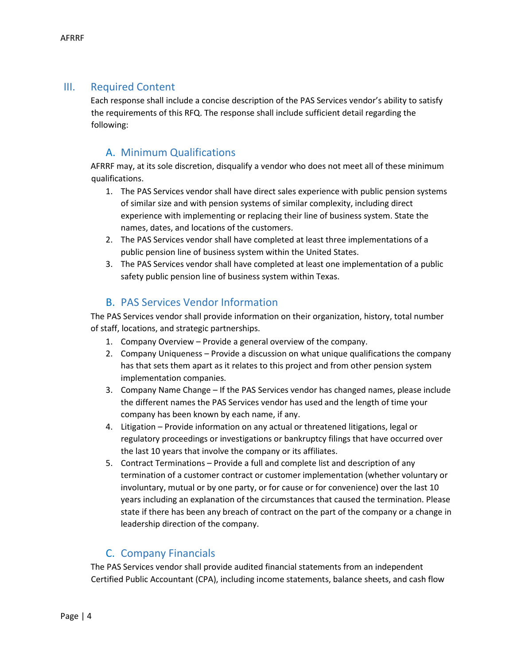#### III. Required Content

Each response shall include a concise description of the PAS Services vendor's ability to satisfy the requirements of this RFQ. The response shall include sufficient detail regarding the following:

## A. Minimum Qualifications

AFRRF may, at its sole discretion, disqualify a vendor who does not meet all of these minimum qualifications.

- 1. The PAS Services vendor shall have direct sales experience with public pension systems of similar size and with pension systems of similar complexity, including direct experience with implementing or replacing their line of business system. State the names, dates, and locations of the customers.
- 2. The PAS Services vendor shall have completed at least three implementations of a public pension line of business system within the United States.
- 3. The PAS Services vendor shall have completed at least one implementation of a public safety public pension line of business system within Texas.

#### B. PAS Services Vendor Information

The PAS Services vendor shall provide information on their organization, history, total number of staff, locations, and strategic partnerships.

- 1. Company Overview Provide a general overview of the company.
- 2. Company Uniqueness Provide a discussion on what unique qualifications the company has that sets them apart as it relates to this project and from other pension system implementation companies.
- 3. Company Name Change If the PAS Services vendor has changed names, please include the different names the PAS Services vendor has used and the length of time your company has been known by each name, if any.
- 4. Litigation Provide information on any actual or threatened litigations, legal or regulatory proceedings or investigations or bankruptcy filings that have occurred over the last 10 years that involve the company or its affiliates.
- 5. Contract Terminations Provide a full and complete list and description of any termination of a customer contract or customer implementation (whether voluntary or involuntary, mutual or by one party, or for cause or for convenience) over the last 10 years including an explanation of the circumstances that caused the termination. Please state if there has been any breach of contract on the part of the company or a change in leadership direction of the company.

#### C. Company Financials

The PAS Services vendor shall provide audited financial statements from an independent Certified Public Accountant (CPA), including income statements, balance sheets, and cash flow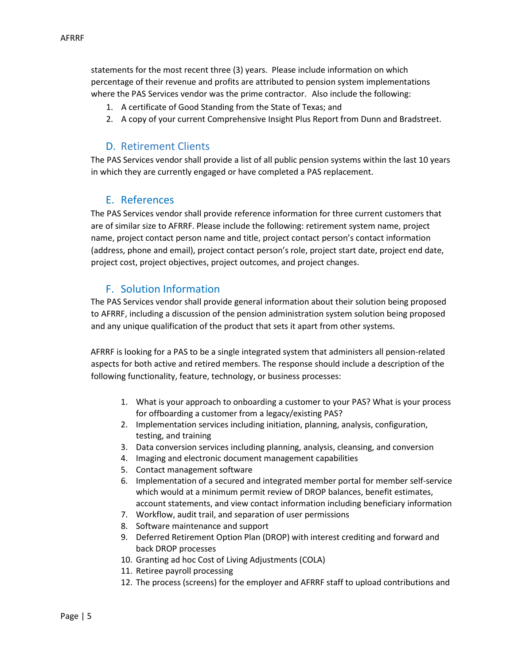statements for the most recent three (3) years. Please include information on which percentage of their revenue and profits are attributed to pension system implementations where the PAS Services vendor was the prime contractor. Also include the following:

- 1. A certificate of Good Standing from the State of Texas; and
- 2. A copy of your current Comprehensive Insight Plus Report from Dunn and Bradstreet.

#### D. Retirement Clients

The PAS Services vendor shall provide a list of all public pension systems within the last 10 years in which they are currently engaged or have completed a PAS replacement.

#### E. References

The PAS Services vendor shall provide reference information for three current customers that are of similar size to AFRRF. Please include the following: retirement system name, project name, project contact person name and title, project contact person's contact information (address, phone and email), project contact person's role, project start date, project end date, project cost, project objectives, project outcomes, and project changes.

#### F. Solution Information

The PAS Services vendor shall provide general information about their solution being proposed to AFRRF, including a discussion of the pension administration system solution being proposed and any unique qualification of the product that sets it apart from other systems.

AFRRF is looking for a PAS to be a single integrated system that administers all pension-related aspects for both active and retired members. The response should include a description of the following functionality, feature, technology, or business processes:

- 1. What is your approach to onboarding a customer to your PAS? What is your process for offboarding a customer from a legacy/existing PAS?
- 2. Implementation services including initiation, planning, analysis, configuration, testing, and training
- 3. Data conversion services including planning, analysis, cleansing, and conversion
- 4. Imaging and electronic document management capabilities
- 5. Contact management software
- 6. Implementation of a secured and integrated member portal for member self-service which would at a minimum permit review of DROP balances, benefit estimates, account statements, and view contact information including beneficiary information
- 7. Workflow, audit trail, and separation of user permissions
- 8. Software maintenance and support
- 9. Deferred Retirement Option Plan (DROP) with interest crediting and forward and back DROP processes
- 10. Granting ad hoc Cost of Living Adjustments (COLA)
- 11. Retiree payroll processing
- 12. The process (screens) for the employer and AFRRF staff to upload contributions and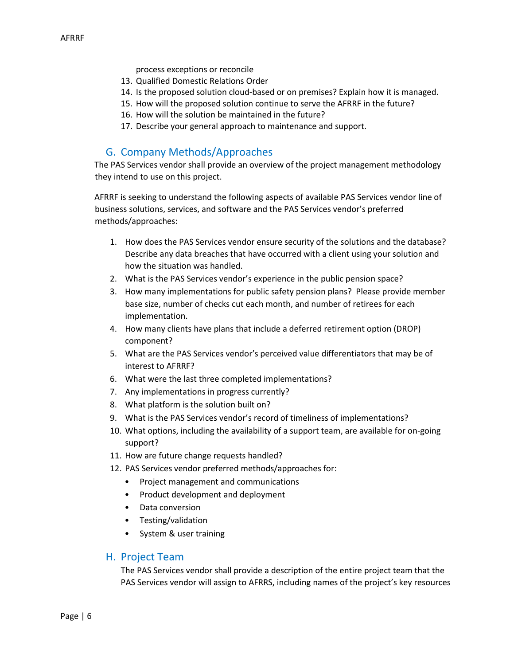- process exceptions or reconcile
- 13. Qualified Domestic Relations Order
- 14. Is the proposed solution cloud-based or on premises? Explain how it is managed.
- 15. How will the proposed solution continue to serve the AFRRF in the future?
- 16. How will the solution be maintained in the future?
- 17. Describe your general approach to maintenance and support.

## G. Company Methods/Approaches

The PAS Services vendor shall provide an overview of the project management methodology they intend to use on this project.

AFRRF is seeking to understand the following aspects of available PAS Services vendor line of business solutions, services, and software and the PAS Services vendor's preferred methods/approaches:

- 1. How does the PAS Services vendor ensure security of the solutions and the database? Describe any data breaches that have occurred with a client using your solution and how the situation was handled.
- 2. What is the PAS Services vendor's experience in the public pension space?
- 3. How many implementations for public safety pension plans? Please provide member base size, number of checks cut each month, and number of retirees for each implementation.
- 4. How many clients have plans that include a deferred retirement option (DROP) component?
- 5. What are the PAS Services vendor's perceived value differentiators that may be of interest to AFRRF?
- 6. What were the last three completed implementations?
- 7. Any implementations in progress currently?
- 8. What platform is the solution built on?
- 9. What is the PAS Services vendor's record of timeliness of implementations?
- 10. What options, including the availability of a support team, are available for on-going support?
- 11. How are future change requests handled?
- 12. PAS Services vendor preferred methods/approaches for:
	- Project management and communications
	- Product development and deployment
	- Data conversion
	- Testing/validation
	- System & user training

#### H. Project Team

The PAS Services vendor shall provide a description of the entire project team that the PAS Services vendor will assign to AFRRS, including names of the project's key resources